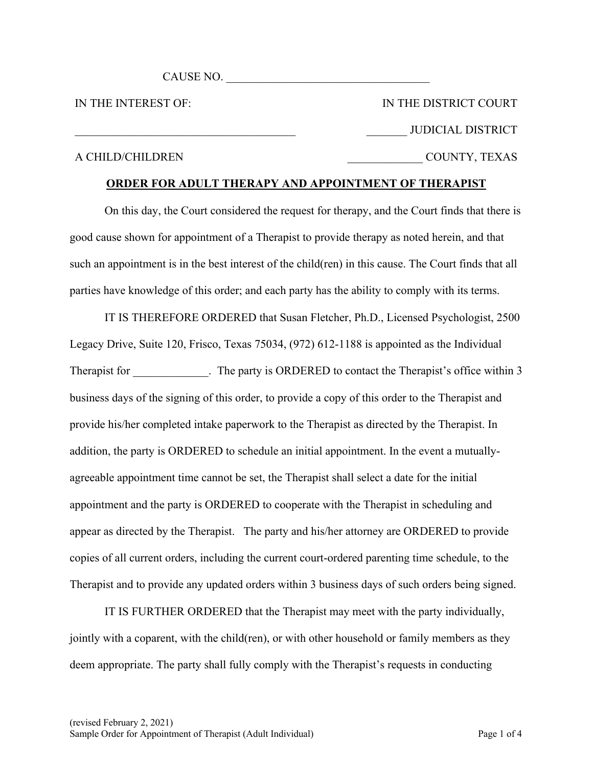CAUSE NO.

IN THE INTEREST OF:

IN THE DISTRICT COURT \_\_\_\_\_\_\_ JUDICIAL DISTRICT \_\_\_\_\_\_\_\_\_\_\_\_\_ COUNTY, TEXAS

#### A CHILD/CHILDREN

## **ORDER FOR ADULT THERAPY AND APPOINTMENT OF THERAPIST**

On this day, the Court considered the request for therapy, and the Court finds that there is good cause shown for appointment of a Therapist to provide therapy as noted herein, and that such an appointment is in the best interest of the child(ren) in this cause. The Court finds that all parties have knowledge of this order; and each party has the ability to comply with its terms.

IT IS THEREFORE ORDERED that Susan Fletcher, Ph.D., Licensed Psychologist, 2500 Legacy Drive, Suite 120, Frisco, Texas 75034, (972) 612-1188 is appointed as the Individual Therapist for The party is ORDERED to contact the Therapist's office within 3 business days of the signing of this order, to provide a copy of this order to the Therapist and provide his/her completed intake paperwork to the Therapist as directed by the Therapist. In addition, the party is ORDERED to schedule an initial appointment. In the event a mutuallyagreeable appointment time cannot be set, the Therapist shall select a date for the initial appointment and the party is ORDERED to cooperate with the Therapist in scheduling and appear as directed by the Therapist. The party and his/her attorney are ORDERED to provide copies of all current orders, including the current court-ordered parenting time schedule, to the Therapist and to provide any updated orders within 3 business days of such orders being signed.

IT IS FURTHER ORDERED that the Therapist may meet with the party individually, jointly with a coparent, with the child(ren), or with other household or family members as they deem appropriate. The party shall fully comply with the Therapist's requests in conducting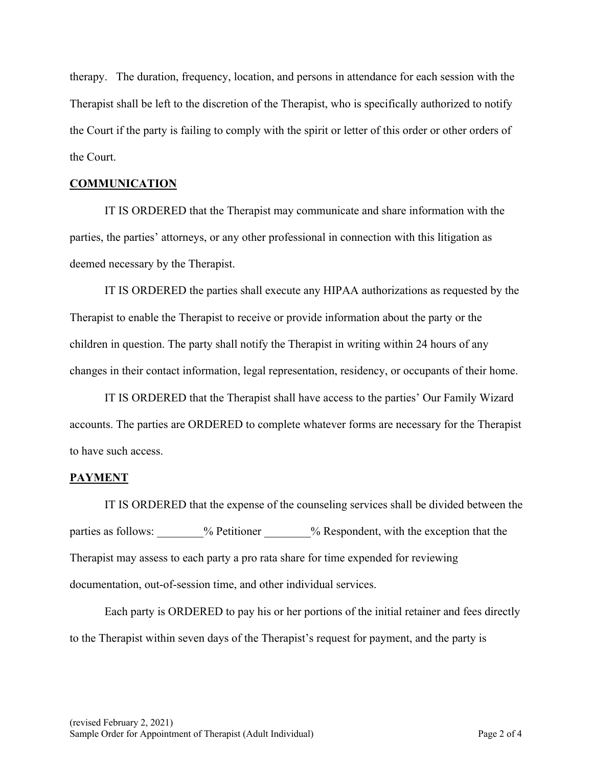therapy. The duration, frequency, location, and persons in attendance for each session with the Therapist shall be left to the discretion of the Therapist, who is specifically authorized to notify the Court if the party is failing to comply with the spirit or letter of this order or other orders of the Court.

### **COMMUNICATION**

IT IS ORDERED that the Therapist may communicate and share information with the parties, the parties' attorneys, or any other professional in connection with this litigation as deemed necessary by the Therapist.

IT IS ORDERED the parties shall execute any HIPAA authorizations as requested by the Therapist to enable the Therapist to receive or provide information about the party or the children in question. The party shall notify the Therapist in writing within 24 hours of any changes in their contact information, legal representation, residency, or occupants of their home.

IT IS ORDERED that the Therapist shall have access to the parties' Our Family Wizard accounts. The parties are ORDERED to complete whatever forms are necessary for the Therapist to have such access.

# **PAYMENT**

IT IS ORDERED that the expense of the counseling services shall be divided between the parties as follows:  $\%$  Petitioner  $\%$  Respondent, with the exception that the Therapist may assess to each party a pro rata share for time expended for reviewing documentation, out-of-session time, and other individual services.

Each party is ORDERED to pay his or her portions of the initial retainer and fees directly to the Therapist within seven days of the Therapist's request for payment, and the party is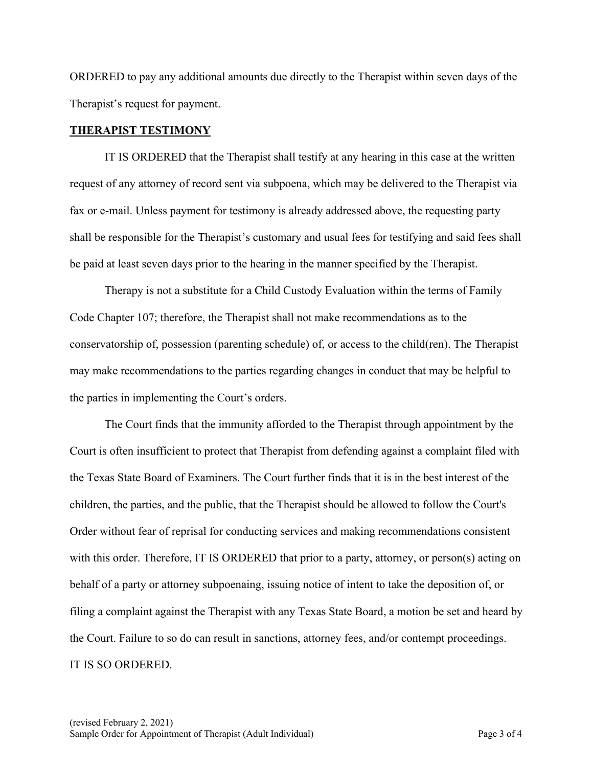ORDERED to pay any additional amounts due directly to the Therapist within seven days of the Therapist's request for payment.

#### **THERAPIST TESTIMONY**

IT IS ORDERED that the Therapist shall testify at any hearing in this case at the written request of any attorney of record sent via subpoena, which may be delivered to the Therapist via fax or e-mail. Unless payment for testimony is already addressed above, the requesting party shall be responsible for the Therapist's customary and usual fees for testifying and said fees shall be paid at least seven days prior to the hearing in the manner specified by the Therapist.

Therapy is not a substitute for a Child Custody Evaluation within the terms of Family Code Chapter 107; therefore, the Therapist shall not make recommendations as to the conservatorship of, possession (parenting schedule) of, or access to the child(ren). The Therapist may make recommendations to the parties regarding changes in conduct that may be helpful to the parties in implementing the Court's orders.

The Court finds that the immunity afforded to the Therapist through appointment by the Court is often insufficient to protect that Therapist from defending against a complaint filed with the Texas State Board of Examiners. The Court further finds that it is in the best interest of the children, the parties, and the public, that the Therapist should be allowed to follow the Court's Order without fear of reprisal for conducting services and making recommendations consistent with this order. Therefore, IT IS ORDERED that prior to a party, attorney, or person(s) acting on behalf of a party or attorney subpoenaing, issuing notice of intent to take the deposition of, or filing a complaint against the Therapist with any Texas State Board, a motion be set and heard by the Court. Failure to so do can result in sanctions, attorney fees, and/or contempt proceedings. IT IS SO ORDERED.